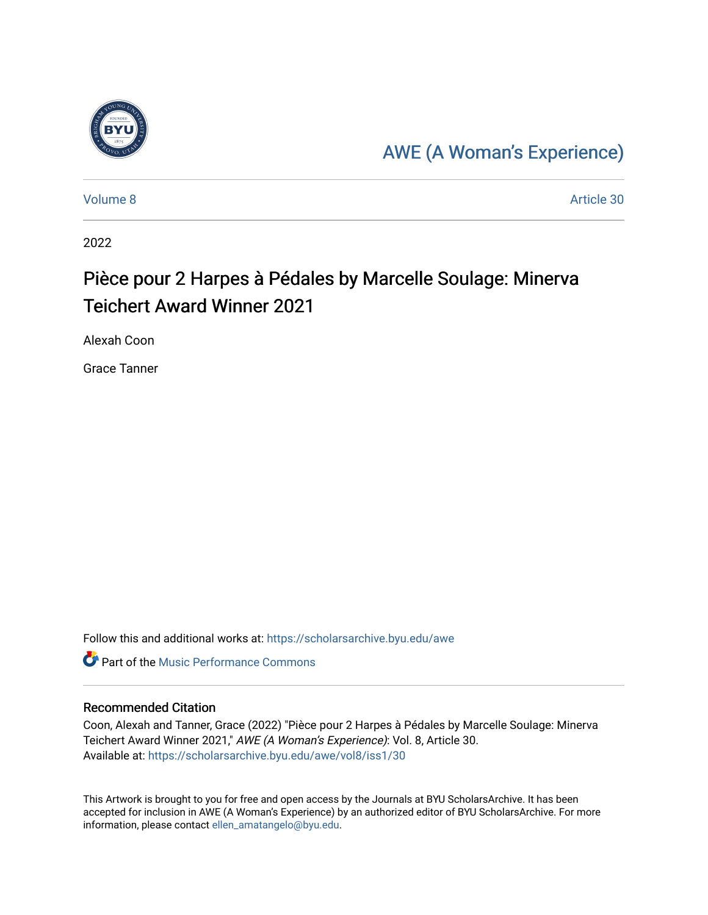

## [AWE \(A Woman's Experience\)](https://scholarsarchive.byu.edu/awe)

[Volume 8](https://scholarsarchive.byu.edu/awe/vol8) Article 30

2022

## Pièce pour 2 Harpes à Pédales by Marcelle Soulage: Minerva Teichert Award Winner 2021

Alexah Coon

Grace Tanner

Follow this and additional works at: [https://scholarsarchive.byu.edu/awe](https://scholarsarchive.byu.edu/awe?utm_source=scholarsarchive.byu.edu%2Fawe%2Fvol8%2Fiss1%2F30&utm_medium=PDF&utm_campaign=PDFCoverPages)

**C** Part of the [Music Performance Commons](https://network.bepress.com/hgg/discipline/1128?utm_source=scholarsarchive.byu.edu%2Fawe%2Fvol8%2Fiss1%2F30&utm_medium=PDF&utm_campaign=PDFCoverPages)

## Recommended Citation

Coon, Alexah and Tanner, Grace (2022) "Pièce pour 2 Harpes à Pédales by Marcelle Soulage: Minerva Teichert Award Winner 2021," AWE (A Woman's Experience): Vol. 8, Article 30. Available at: [https://scholarsarchive.byu.edu/awe/vol8/iss1/30](https://scholarsarchive.byu.edu/awe/vol8/iss1/30?utm_source=scholarsarchive.byu.edu%2Fawe%2Fvol8%2Fiss1%2F30&utm_medium=PDF&utm_campaign=PDFCoverPages) 

This Artwork is brought to you for free and open access by the Journals at BYU ScholarsArchive. It has been accepted for inclusion in AWE (A Woman's Experience) by an authorized editor of BYU ScholarsArchive. For more information, please contact [ellen\\_amatangelo@byu.edu.](mailto:ellen_amatangelo@byu.edu)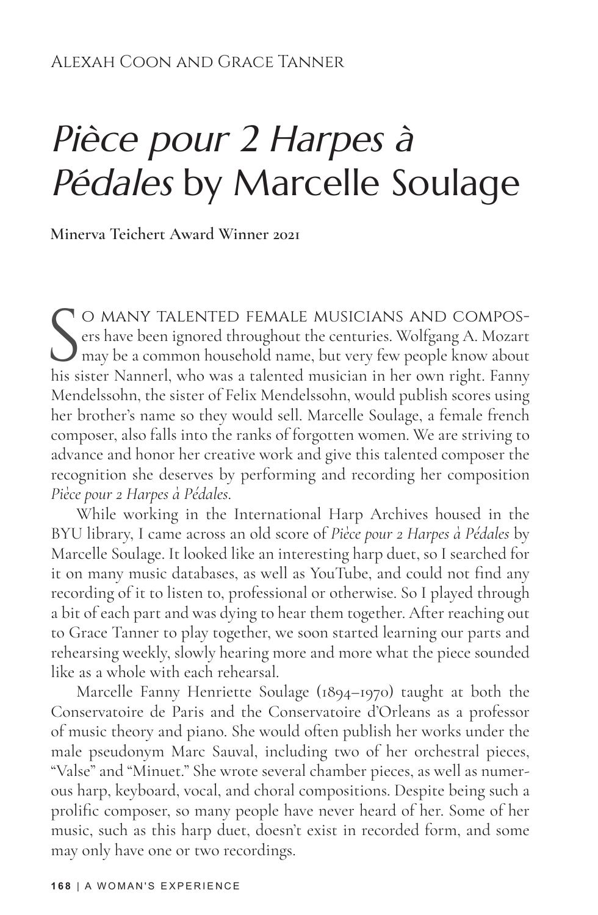## Pièce pour 2 Harpes à Pédales by Marcelle Soulage

**Minerva Teichert Award Winner 2021**

S O MANY TALENTED FEMALE MUSICIANS AND COMPOS-<br>ers have been ignored throughout the centuries. Wolfgang A. Mozart<br>may be a common household name, but very few people know about<br>his sister Nannerl, who was a talented musici ers have been ignored throughout the centuries. Wolfgang A. Mozart  $\bigcup$  may be a common household name, but very few people know about his sister Nannerl, who was a talented musician in her own right. Fanny Mendelssohn, the sister of Felix Mendelssohn, would publish scores using her brother's name so they would sell. Marcelle Soulage, a female french composer, also falls into the ranks of forgotten women. We are striving to advance and honor her creative work and give this talented composer the recognition she deserves by performing and recording her composition *Pièce pour 2 Harpes à Pédales*.

While working in the International Harp Archives housed in the BYU library, I came across an old score of *Pièce pour 2 Harpes à Pédales* by Marcelle Soulage. It looked like an interesting harp duet, so I searched for it on many music databases, as well as YouTube, and could not find any recording of it to listen to, professional or otherwise. So I played through a bit of each part and was dying to hear them together. After reaching out to Grace Tanner to play together, we soon started learning our parts and rehearsing weekly, slowly hearing more and more what the piece sounded like as a whole with each rehearsal.

Marcelle Fanny Henriette Soulage (1894–1970) taught at both the Conservatoire de Paris and the Conservatoire d'Orleans as a professor of music theory and piano. She would often publish her works under the male pseudonym Marc Sauval, including two of her orchestral pieces, "Valse" and "Minuet." She wrote several chamber pieces, as well as numerous harp, keyboard, vocal, and choral compositions. Despite being such a prolific composer, so many people have never heard of her. Some of her music, such as this harp duet, doesn't exist in recorded form, and some may only have one or two recordings.